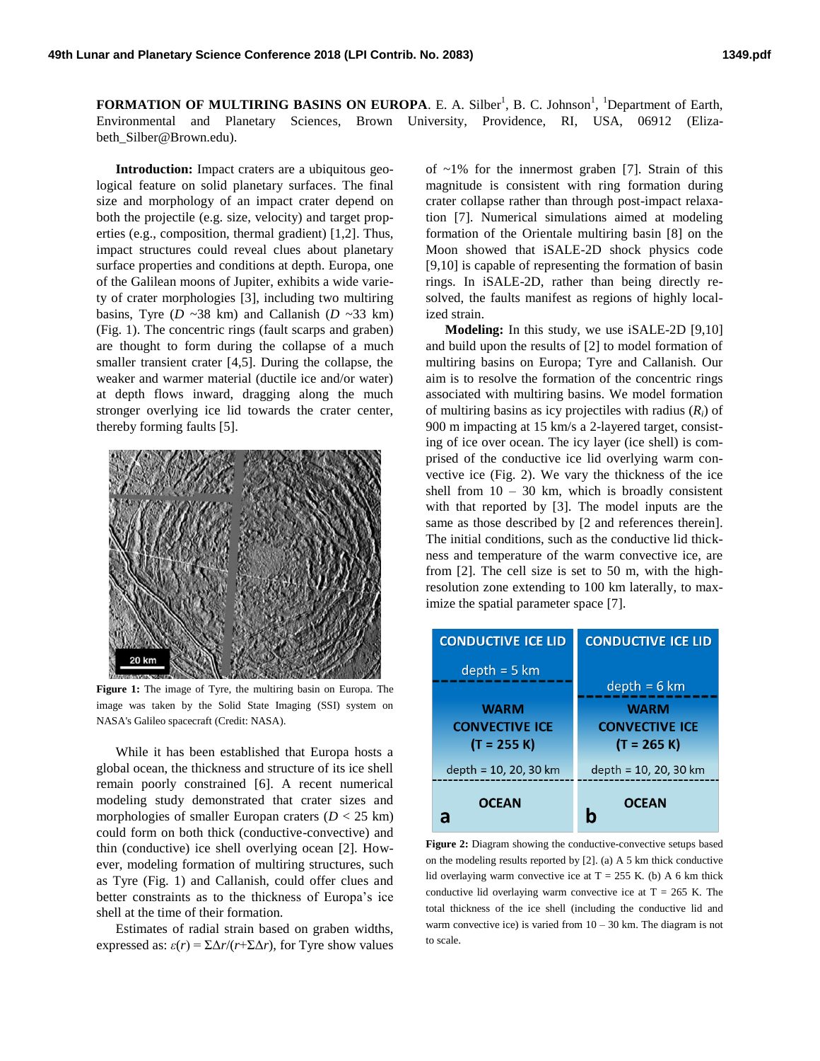**FORMATION OF MULTIRING BASINS ON EUROPA.** E. A. Silber<sup>1</sup>, B. C. Johnson<sup>1</sup>, <sup>1</sup>Department of Earth, Environmental and Planetary Sciences, Brown University, Providence, RI, USA, 06912 (Elizabeth\_Silber@Brown.edu).

**Introduction:** Impact craters are a ubiquitous geological feature on solid planetary surfaces. The final size and morphology of an impact crater depend on both the projectile (e.g. size, velocity) and target properties (e.g., composition, thermal gradient) [1,2]. Thus, impact structures could reveal clues about planetary surface properties and conditions at depth. Europa, one of the Galilean moons of Jupiter, exhibits a wide variety of crater morphologies [3], including two multiring basins, Tyre ( $D \sim 38$  km) and Callanish ( $D \sim 33$  km) (Fig. 1). The concentric rings (fault scarps and graben) are thought to form during the collapse of a much smaller transient crater [4,5]. During the collapse, the weaker and warmer material (ductile ice and/or water) at depth flows inward, dragging along the much stronger overlying ice lid towards the crater center, thereby forming faults [5].



**Figure 1:** The image of Tyre, the multiring basin on Europa. The image was taken by the Solid State Imaging (SSI) system on NASA's Galileo spacecraft (Credit: NASA).

While it has been established that Europa hosts a global ocean, the thickness and structure of its ice shell remain poorly constrained [6]. A recent numerical modeling study demonstrated that crater sizes and morphologies of smaller Europan craters  $(D < 25$  km) could form on both thick (conductive-convective) and thin (conductive) ice shell overlying ocean [2]. However, modeling formation of multiring structures, such as Tyre (Fig. 1) and Callanish, could offer clues and better constraints as to the thickness of Europa's ice shell at the time of their formation.

Estimates of radial strain based on graben widths, expressed as:  $\varepsilon(r) = \sum \Delta r/(r + \sum \Delta r)$ , for Tyre show values

of  $~1\%$  for the innermost graben [7]. Strain of this magnitude is consistent with ring formation during crater collapse rather than through post-impact relaxation [7]. Numerical simulations aimed at modeling formation of the Orientale multiring basin [8] on the Moon showed that iSALE-2D shock physics code [9,10] is capable of representing the formation of basin rings. In iSALE-2D, rather than being directly resolved, the faults manifest as regions of highly localized strain.

**Modeling:** In this study, we use iSALE-2D [9,10] and build upon the results of [2] to model formation of multiring basins on Europa; Tyre and Callanish. Our aim is to resolve the formation of the concentric rings associated with multiring basins. We model formation of multiring basins as icy projectiles with radius (*Ri*) of 900 m impacting at 15 km/s a 2-layered target, consisting of ice over ocean. The icy layer (ice shell) is comprised of the conductive ice lid overlying warm convective ice (Fig. 2). We vary the thickness of the ice shell from  $10 - 30$  km, which is broadly consistent with that reported by [3]. The model inputs are the same as those described by [2 and references therein]. The initial conditions, such as the conductive lid thickness and temperature of the warm convective ice, are from [2]. The cell size is set to 50 m, with the highresolution zone extending to 100 km laterally, to maximize the spatial parameter space [7].

| <b>CONDUCTIVE ICE LID</b> | <b>CONDUCTIVE ICE LID</b> |
|---------------------------|---------------------------|
| $depth = 5 km$            |                           |
|                           | $depth = 6 km$            |
| <b>WARM</b>               | <b>WARM</b>               |
| <b>CONVECTIVE ICE</b>     | <b>CONVECTIVE ICE</b>     |
| (T = 255 K)               | $(T = 265 K)$             |
| depth = 10, 20, 30 km     | depth = 10, 20, 30 km     |
| <b>OCEAN</b><br>a         | <b>OCEAN</b>              |

**Figure 2:** Diagram showing the conductive-convective setups based on the modeling results reported by [2]. (a) A 5 km thick conductive lid overlaying warm convective ice at  $T = 255$  K. (b) A 6 km thick conductive lid overlaying warm convective ice at  $T = 265$  K. The total thickness of the ice shell (including the conductive lid and warm convective ice) is varied from  $10 - 30$  km. The diagram is not to scale.